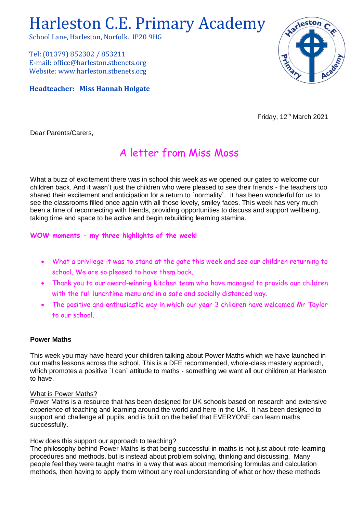# Harleston C.E. Primary Academy

School Lane, Harleston, Norfolk. IP20 9HG

Tel: (01379) 852302 / 853211 E-mail: office@harleston.stbenets.org Website: www.harleston.stbenets.org

**Headteacher: Miss Hannah Holgate**



Friday, 12<sup>th</sup> March 2021

Dear Parents/Carers,

# A letter from Miss Moss

What a buzz of excitement there was in school this week as we opened our gates to welcome our children back. And it wasn't just the children who were pleased to see their friends - the teachers too shared their excitement and anticipation for a return to `normality`. It has been wonderful for us to see the classrooms filled once again with all those lovely, smiley faces. This week has very much been a time of reconnecting with friends, providing opportunities to discuss and support wellbeing, taking time and space to be active and begin rebuilding learning stamina.

**WOW moments - my three highlights of the week!**

- What a privilege it was to stand at the gate this week and see our children returning to school. We are so pleased to have them back.
- Thank you to our award-winning kitchen team who have managed to provide our children with the full lunchtime menu and in a safe and socially distanced way.
- The positive and enthusiastic way in which our year 3 children have welcomed Mr Taylor to our school.

## **Power Maths**

This week you may have heard your children talking about Power Maths which we have launched in our maths lessons across the school. This is a DFE recommended, whole-class mastery approach, which promotes a positive `I can` attitude to maths - something we want all our children at Harleston to have.

#### What is Power Maths?

Power Maths is a resource that has been designed for UK schools based on research and extensive experience of teaching and learning around the world and here in the UK. It has been designed to support and challenge all pupils, and is built on the belief that EVERYONE can learn maths successfully.

## How does this support our approach to teaching?

The philosophy behind Power Maths is that being successful in maths is not just about rote-learning procedures and methods, but is instead about problem solving, thinking and discussing. Many people feel they were taught maths in a way that was about memorising formulas and calculation methods, then having to apply them without any real understanding of what or how these methods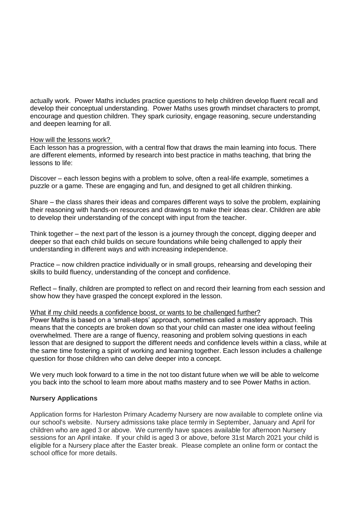actually work. Power Maths includes practice questions to help children develop fluent recall and develop their conceptual understanding. Power Maths uses growth mindset characters to prompt, encourage and question children. They spark curiosity, engage reasoning, secure understanding and deepen learning for all.

#### How will the lessons work?

Each lesson has a progression, with a central flow that draws the main learning into focus. There are different elements, informed by research into best practice in maths teaching, that bring the lessons to life:

Discover – each lesson begins with a problem to solve, often a real-life example, sometimes a puzzle or a game. These are engaging and fun, and designed to get all children thinking.

Share – the class shares their ideas and compares different ways to solve the problem, explaining their reasoning with hands-on resources and drawings to make their ideas clear. Children are able to develop their understanding of the concept with input from the teacher.

Think together – the next part of the lesson is a journey through the concept, digging deeper and deeper so that each child builds on secure foundations while being challenged to apply their understanding in different ways and with increasing independence.

Practice – now children practice individually or in small groups, rehearsing and developing their skills to build fluency, understanding of the concept and confidence.

Reflect – finally, children are prompted to reflect on and record their learning from each session and show how they have grasped the concept explored in the lesson.

#### What if my child needs a confidence boost, or wants to be challenged further?

Power Maths is based on a 'small-steps' approach, sometimes called a mastery approach. This means that the concepts are broken down so that your child can master one idea without feeling overwhelmed. There are a range of fluency, reasoning and problem solving questions in each lesson that are designed to support the different needs and confidence levels within a class, while at the same time fostering a spirit of working and learning together. Each lesson includes a challenge question for those children who can delve deeper into a concept.

We very much look forward to a time in the not too distant future when we will be able to welcome you back into the school to learn more about maths mastery and to see Power Maths in action.

#### **Nursery Applications**

Application forms for Harleston Primary Academy Nursery are now available to complete online via our school's website. Nursery admissions take place termly in September, January and April for children who are aged 3 or above. We currently have spaces available for afternoon Nursery sessions for an April intake. If your child is aged 3 or above, before 31st March 2021 your child is eligible for a Nursery place after the Easter break. Please complete an online form or contact the school office for more details.